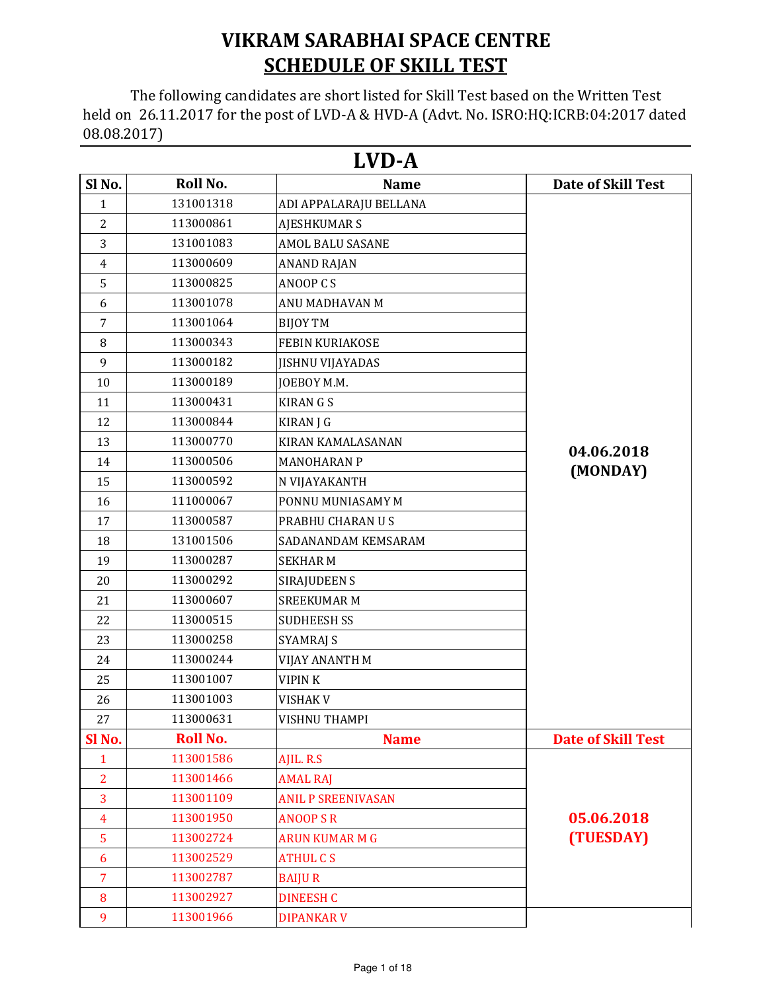## VIKRAM SARABHAI SPACE CENTRE **SCHEDULE OF SKILL TEST**

 The following candidates are short listed for Skill Test based on the Written Test held on 26.11.2017 for the post of LVD-A & HVD-A (Advt. No. ISRO:HQ:ICRB:04:2017 dated 08.08.2017)

|                |                 | LVD-A                     |                           |
|----------------|-----------------|---------------------------|---------------------------|
| Sl No.         | Roll No.        | <b>Name</b>               | <b>Date of Skill Test</b> |
| $\mathbf{1}$   | 131001318       | ADI APPALARAJU BELLANA    |                           |
| $\overline{2}$ | 113000861       | <b>AJESHKUMAR S</b>       |                           |
| 3              | 131001083       | AMOL BALU SASANE          |                           |
| 4              | 113000609       | <b>ANAND RAJAN</b>        |                           |
| 5              | 113000825       | ANOOP CS                  |                           |
| 6              | 113001078       | ANU MADHAVAN M            |                           |
| $\overline{7}$ | 113001064       | <b>BIJOY TM</b>           |                           |
| 8              | 113000343       | FEBIN KURIAKOSE           |                           |
| 9              | 113000182       | <b>JISHNU VIJAYADAS</b>   |                           |
| 10             | 113000189       | JOEBOY M.M.               |                           |
| 11             | 113000431       | <b>KIRANGS</b>            |                           |
| 12             | 113000844       | <b>KIRAN J G</b>          |                           |
| 13             | 113000770       | <b>KIRAN KAMALASANAN</b>  |                           |
| 14             | 113000506       | <b>MANOHARAN P</b>        | 04.06.2018                |
| 15             | 113000592       | N VIJAYAKANTH             | (MONDAY)                  |
| 16             | 111000067       | PONNU MUNIASAMY M         |                           |
| 17             | 113000587       | PRABHU CHARAN U S         |                           |
| 18             | 131001506       | SADANANDAM KEMSARAM       |                           |
| 19             | 113000287       | <b>SEKHARM</b>            |                           |
| 20             | 113000292       | SIRAJUDEEN S              |                           |
| 21             | 113000607       | <b>SREEKUMAR M</b>        |                           |
| 22             | 113000515       | <b>SUDHEESH SS</b>        |                           |
| 23             | 113000258       | <b>SYAMRAJ S</b>          |                           |
| 24             | 113000244       | VIJAY ANANTH M            |                           |
| 25             | 113001007       | <b>VIPINK</b>             |                           |
| 26             | 113001003       | <b>VISHAK V</b>           |                           |
| 27             | 113000631       | <b>VISHNU THAMPI</b>      |                           |
| Sl No.         | <b>Roll No.</b> | <b>Name</b>               | <b>Date of Skill Test</b> |
| $\mathbf{1}$   | 113001586       | AJIL. R.S                 |                           |
| 2              | 113001466       | <b>AMAL RAJ</b>           |                           |
| 3              | 113001109       | <b>ANIL P SREENIVASAN</b> |                           |
| $\overline{4}$ | 113001950       | <b>ANOOPSR</b>            | 05.06.2018                |
| 5              | 113002724       | <b>ARUN KUMAR M G</b>     | (TUESDAY)                 |
| 6              | 113002529       | <b>ATHUL CS</b>           |                           |
| $\overline{7}$ | 113002787       | <b>BAIJUR</b>             |                           |
| 8              | 113002927       | <b>DINEESH C</b>          |                           |
| 9              | 113001966       | <b>DIPANKAR V</b>         |                           |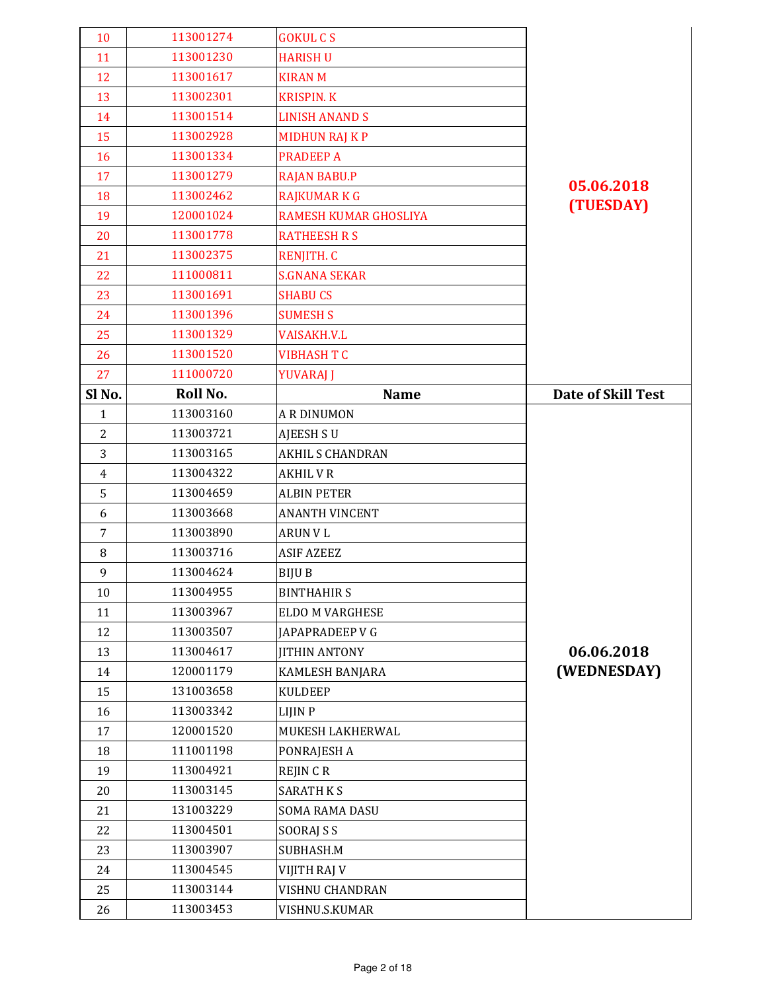| 10             | 113001274 | <b>GOKUL CS</b>         |                           |
|----------------|-----------|-------------------------|---------------------------|
| 11             | 113001230 | <b>HARISH U</b>         |                           |
| 12             | 113001617 | <b>KIRAN M</b>          |                           |
| 13             | 113002301 | <b>KRISPIN. K</b>       |                           |
| 14             | 113001514 | <b>LINISH ANAND S</b>   |                           |
| 15             | 113002928 | <b>MIDHUN RAJ KP</b>    |                           |
| 16             | 113001334 | <b>PRADEEP A</b>        |                           |
| 17             | 113001279 | <b>RAJAN BABU.P</b>     |                           |
| 18             | 113002462 | <b>RAJKUMAR K G</b>     | 05.06.2018                |
| 19             | 120001024 | RAMESH KUMAR GHOSLIYA   | (TUESDAY)                 |
| 20             | 113001778 | <b>RATHEESH R S</b>     |                           |
| 21             | 113002375 | <b>RENJITH. C</b>       |                           |
| 22             | 111000811 | <b>S.GNANA SEKAR</b>    |                           |
| 23             | 113001691 | <b>SHABU CS</b>         |                           |
| 24             | 113001396 | <b>SUMESH S</b>         |                           |
| 25             | 113001329 | <b>VAISAKH.V.L</b>      |                           |
| 26             | 113001520 | <b>VIBHASH T C</b>      |                           |
| 27             | 111000720 | YUVARAJ J               |                           |
| Sl No.         | Roll No.  | <b>Name</b>             | <b>Date of Skill Test</b> |
| $\mathbf{1}$   | 113003160 | <b>A R DINUMON</b>      |                           |
| $\overline{2}$ | 113003721 | <b>AJEESH SU</b>        |                           |
| 3              | 113003165 | <b>AKHIL S CHANDRAN</b> |                           |
| $\overline{4}$ | 113004322 | <b>AKHIL V R</b>        |                           |
| 5              | 113004659 | <b>ALBIN PETER</b>      |                           |
| 6              | 113003668 | <b>ANANTH VINCENT</b>   |                           |
| 7              | 113003890 | <b>ARUN VL</b>          |                           |
| $\, 8$         | 113003716 | <b>ASIF AZEEZ</b>       |                           |
| 9              | 113004624 | BIJU B                  |                           |
| 10             | 113004955 | <b>BINTHAHIRS</b>       |                           |
| 11             | 113003967 | ELDO M VARGHESE         |                           |
| 12             | 113003507 | JAPAPRADEEP V G         |                           |
| 13             | 113004617 | <b>JITHIN ANTONY</b>    | 06.06.2018                |
| 14             | 120001179 | KAMLESH BANJARA         | (WEDNESDAY)               |
| 15             | 131003658 | <b>KULDEEP</b>          |                           |
| 16             | 113003342 | LIJIN P                 |                           |
| 17             | 120001520 | MUKESH LAKHERWAL        |                           |
| 18             | 111001198 | PONRAJESH A             |                           |
| 19             | 113004921 | <b>REJIN CR</b>         |                           |
| 20             | 113003145 | <b>SARATH KS</b>        |                           |
| 21             | 131003229 | <b>SOMA RAMA DASU</b>   |                           |
| 22             | 113004501 | SOORAJ S S              |                           |
| 23             | 113003907 | SUBHASH.M               |                           |
| 24             | 113004545 | VIJITH RAJ V            |                           |
| 25             | 113003144 | VISHNU CHANDRAN         |                           |
| 26             | 113003453 | VISHNU.S.KUMAR          |                           |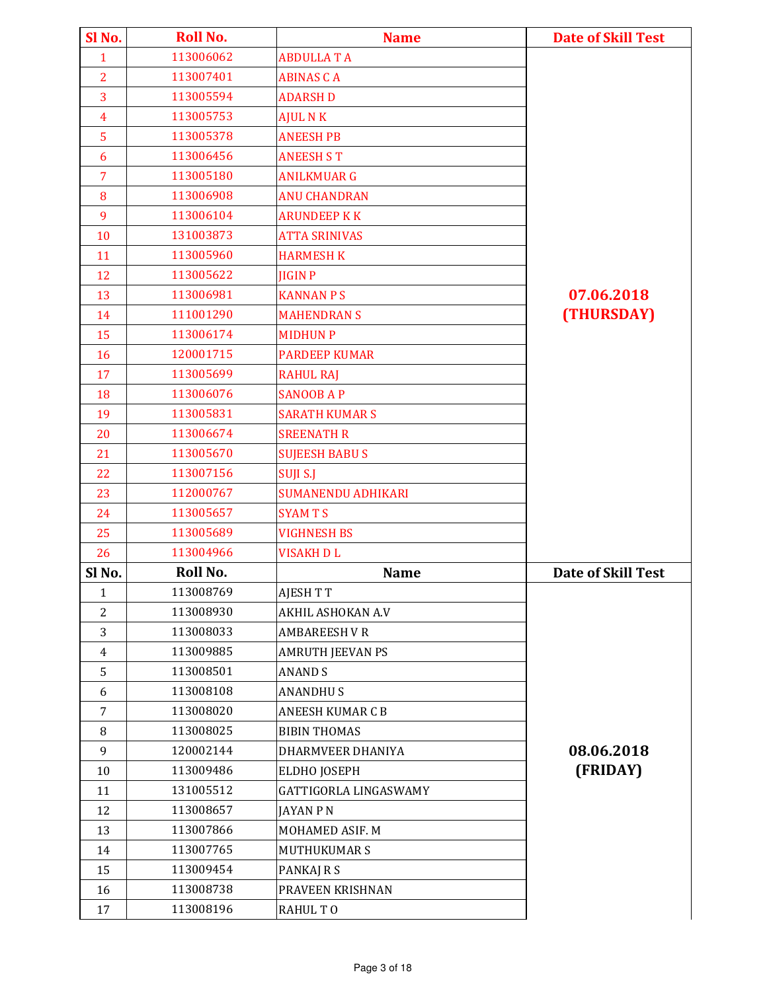| Sl No.         | <b>Roll No.</b> | <b>Name</b>               | <b>Date of Skill Test</b> |
|----------------|-----------------|---------------------------|---------------------------|
| $\mathbf{1}$   | 113006062       | <b>ABDULLATA</b>          |                           |
| $\overline{2}$ | 113007401       | <b>ABINAS CA</b>          |                           |
| 3              | 113005594       | <b>ADARSH D</b>           |                           |
| $\overline{4}$ | 113005753       | <b>AJUL N K</b>           |                           |
| 5              | 113005378       | <b>ANEESH PB</b>          |                           |
| 6              | 113006456       | <b>ANEESH S T</b>         |                           |
| $\overline{7}$ | 113005180       | <b>ANILKMUAR G</b>        |                           |
| 8              | 113006908       | <b>ANU CHANDRAN</b>       |                           |
| 9              | 113006104       | <b>ARUNDEEP K K</b>       |                           |
| 10             | 131003873       | <b>ATTA SRINIVAS</b>      |                           |
| 11             | 113005960       | <b>HARMESH K</b>          |                           |
| 12             | 113005622       | <b>JIGIN P</b>            |                           |
| 13             | 113006981       | <b>KANNAN P S</b>         | 07.06.2018                |
| 14             | 111001290       | <b>MAHENDRAN S</b>        | (THURSDAY)                |
| 15             | 113006174       | <b>MIDHUN P</b>           |                           |
| 16             | 120001715       | <b>PARDEEP KUMAR</b>      |                           |
| 17             | 113005699       | <b>RAHUL RAJ</b>          |                           |
| 18             | 113006076       | <b>SANOOB AP</b>          |                           |
| 19             | 113005831       | <b>SARATH KUMAR S</b>     |                           |
| 20             | 113006674       | <b>SREENATH R</b>         |                           |
| 21             | 113005670       | <b>SUJEESH BABUS</b>      |                           |
| 22             | 113007156       | SUJI S.J                  |                           |
| 23             | 112000767       | <b>SUMANENDU ADHIKARI</b> |                           |
| 24             | 113005657       | <b>SYAMTS</b>             |                           |
| 25             | 113005689       | <b>VIGHNESH BS</b>        |                           |
| 26             | 113004966       | <b>VISAKH DL</b>          |                           |
| Sl No.         | Roll No.        | <b>Name</b>               | <b>Date of Skill Test</b> |
| 1              | 113008769       | <b>AJESH T T</b>          |                           |
| $\overline{2}$ | 113008930       | AKHIL ASHOKAN A.V         |                           |
| 3              | 113008033       | <b>AMBAREESH VR</b>       |                           |
| $\overline{4}$ | 113009885       | <b>AMRUTH JEEVAN PS</b>   |                           |
| 5              | 113008501       | <b>ANAND S</b>            |                           |
| 6              | 113008108       | <b>ANANDHUS</b>           |                           |
| $\overline{7}$ | 113008020       | <b>ANEESH KUMAR C B</b>   |                           |
| 8              | 113008025       | <b>BIBIN THOMAS</b>       |                           |
| 9              | 120002144       | DHARMVEER DHANIYA         | 08.06.2018                |
| 10             | 113009486       | ELDHO JOSEPH              | (FRIDAY)                  |
| 11             | 131005512       | GATTIGORLA LINGASWAMY     |                           |
| 12             | 113008657       | JAYAN P N                 |                           |
| 13             | 113007866       | MOHAMED ASIF. M           |                           |
| 14             | 113007765       | MUTHUKUMAR S              |                           |
| 15             | 113009454       | PANKAJ R S                |                           |
| 16             | 113008738       | PRAVEEN KRISHNAN          |                           |
| 17             | 113008196       | RAHUL TO                  |                           |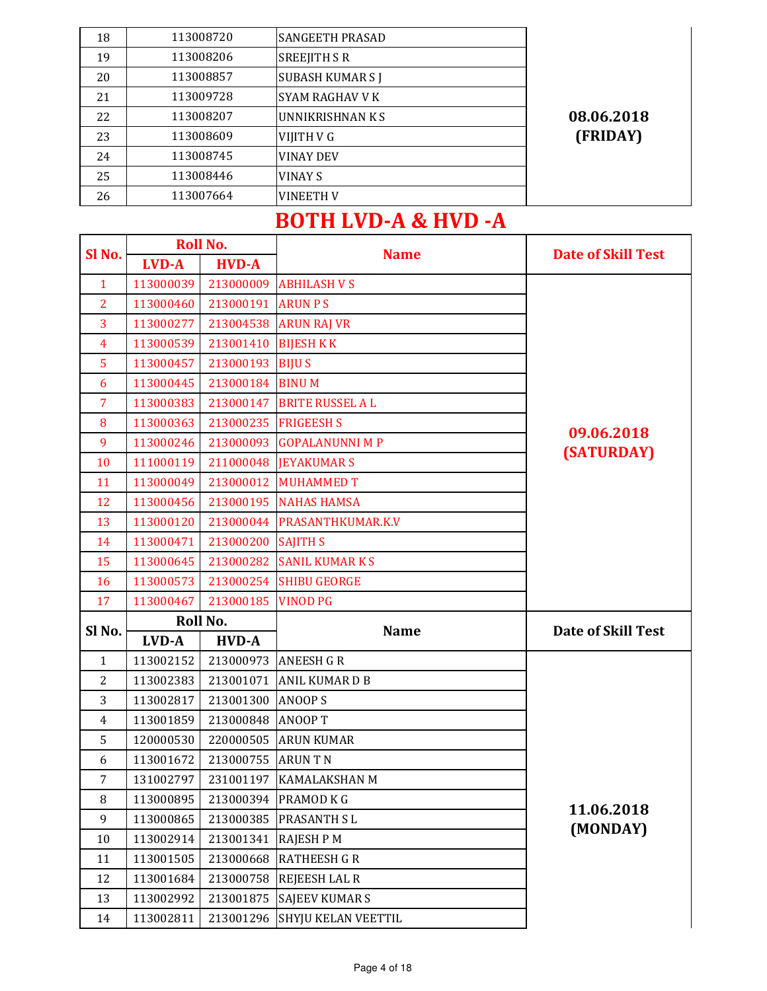| 18 | 113008720 | <b>SANGEETH PRASAD</b> |            |
|----|-----------|------------------------|------------|
| 19 | 113008206 | <b>SREEJITH S R</b>    |            |
| 20 | 113008857 | <b>SUBASH KUMARS J</b> |            |
| 21 | 113009728 | SYAM RAGHAV V K        |            |
| 22 | 113008207 | UNNIKRISHNAN K S       | 08.06.2018 |
| 23 | 113008609 | VIJITH V G             | (FRIDAY)   |
| 24 | 113008745 | <b>VINAY DEV</b>       |            |
| 25 | 113008446 | <b>VINAY S</b>         |            |
| 26 | 113007664 | <b>VINEETH V</b>       |            |

## BOTH LVD-A & HVD -A

| Sl <sub>No.</sub> |              | <b>Roll No.</b> | <b>Name</b>             | <b>Date of Skill Test</b> |
|-------------------|--------------|-----------------|-------------------------|---------------------------|
|                   | <b>LVD-A</b> | <b>HVD-A</b>    |                         |                           |
| $\mathbf{1}$      | 113000039    | 213000009       | <b>ABHILASH V S</b>     |                           |
| $\overline{2}$    | 113000460    | 213000191       | <b>ARUN PS</b>          |                           |
| 3                 | 113000277    | 213004538       | <b>ARUN RAJ VR</b>      |                           |
| $\overline{4}$    | 113000539    | 213001410       | <b>BIJESH KK</b>        |                           |
| 5                 | 113000457    | 213000193       | <b>BIJUS</b>            |                           |
| 6                 | 113000445    | 213000184       | <b>BINUM</b>            |                           |
| 7                 | 113000383    | 213000147       | <b>BRITE RUSSEL A L</b> |                           |
| 8                 | 113000363    | 213000235       | <b>FRIGEESH S</b>       |                           |
| 9                 | 113000246    | 213000093       | <b>GOPALANUNNI M P</b>  | 09.06.2018                |
| 10                | 111000119    | 211000048       | <b>JEYAKUMAR S</b>      | (SATURDAY)                |
| 11                | 113000049    | 213000012       | <b>MUHAMMED T</b>       |                           |
| 12                | 113000456    | 213000195       | <b>NAHAS HAMSA</b>      |                           |
| 13                | 113000120    | 213000044       | PRASANTHKUMAR.K.V       |                           |
| 14                | 113000471    | 213000200       | <b>SAJITH S</b>         |                           |
| 15                | 113000645    | 213000282       | <b>SANIL KUMARKS</b>    |                           |
| 16                | 113000573    | 213000254       | <b>SHIBU GEORGE</b>     |                           |
| 17                | 113000467    | 213000185       | <b>VINOD PG</b>         |                           |
|                   |              | Roll No.        |                         |                           |
| Sl No.            | LVD-A        | <b>HVD-A</b>    | <b>Name</b>             | <b>Date of Skill Test</b> |
| $\mathbf{1}$      | 113002152    | 213000973       | <b>ANEESH G R</b>       |                           |
| $\overline{2}$    | 113002383    | 213001071       | ANIL KUMAR D B          |                           |
| 3                 | 113002817    | 213001300       | <b>ANOOPS</b>           |                           |
| $\overline{4}$    | 113001859    | 213000848       | <b>ANOOPT</b>           |                           |
| 5                 | 120000530    | 220000505       | <b>ARUN KUMAR</b>       |                           |
| 6                 | 113001672    | 213000755       | <b>ARUNTN</b>           |                           |
| $\overline{7}$    | 131002797    | 231001197       | <b>KAMALAKSHAN M</b>    |                           |
| $\, 8$            | 113000895    |                 | 213000394 PRAMOD K G    |                           |
| 9                 | 113000865    | 213000385       | PRASANTH SL             | 11.06.2018                |
| 10                | 113002914    | 213001341       | <b>RAJESH P M</b>       | (MONDAY)                  |
| 11                | 113001505    | 213000668       | <b>RATHEESH G R</b>     |                           |
| 12                | 113001684    | 213000758       | REJEESH LAL R           |                           |
| 13                | 113002992    | 213001875       | <b>SAJEEV KUMAR S</b>   |                           |
| 14                | 113002811    | 213001296       | SHYJU KELAN VEETTIL     |                           |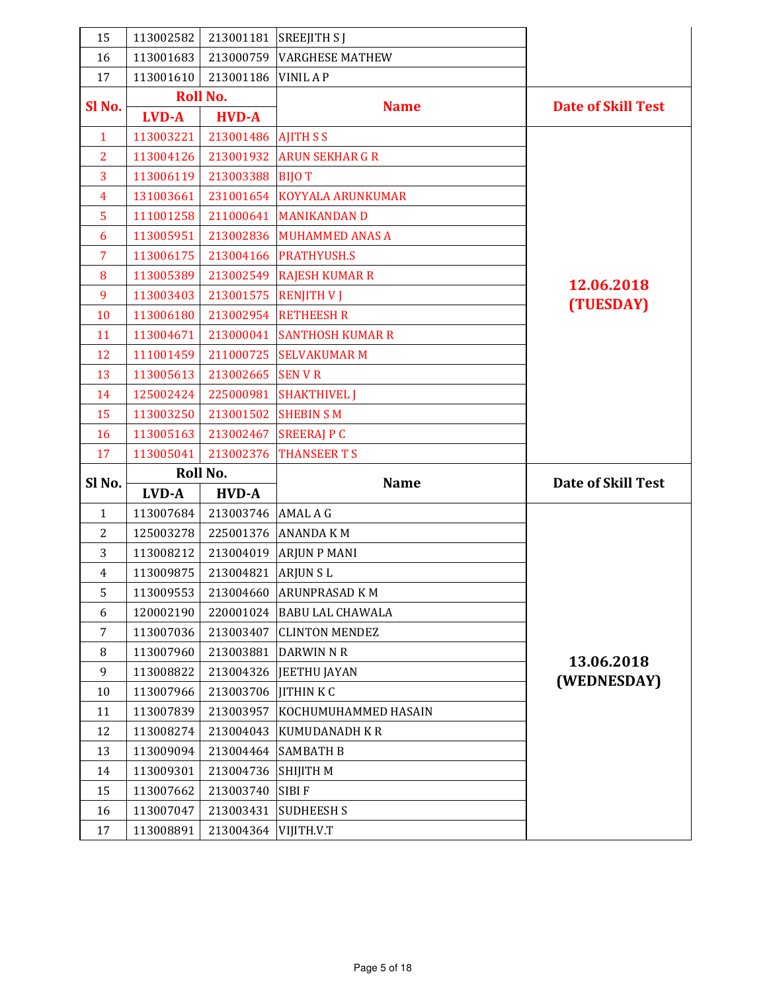| 15                | 113002582 | 213001181           | <b>SREEJITH SJ</b>          |                           |
|-------------------|-----------|---------------------|-----------------------------|---------------------------|
| 16                | 113001683 | 213000759           | <b>VARGHESE MATHEW</b>      |                           |
| 17                | 113001610 | 213001186           | <b>VINIL AP</b>             |                           |
|                   |           | <b>Roll No.</b>     |                             | <b>Date of Skill Test</b> |
| SI <sub>No.</sub> | LVD-A     | <b>HVD-A</b>        | <b>Name</b>                 |                           |
| $\mathbf{1}$      | 113003221 | 213001486 AJITH S S |                             |                           |
| $\overline{2}$    | 113004126 | 213001932           | <b>ARUN SEKHAR G R</b>      |                           |
| 3                 | 113006119 | 213003388           | <b>BIJOT</b>                |                           |
| 4                 | 131003661 |                     | 231001654 KOYYALA ARUNKUMAR |                           |
| 5                 | 111001258 | 211000641           | <b>MANIKANDAN D</b>         |                           |
| 6                 | 113005951 | 213002836           | <b>MUHAMMED ANAS A</b>      |                           |
| 7                 | 113006175 |                     | 213004166 PRATHYUSH.S       |                           |
| 8                 | 113005389 |                     | 213002549 RAJESH KUMAR R    | 12.06.2018                |
| 9                 | 113003403 | 213001575           | <b>RENJITH V J</b>          | (TUESDAY)                 |
| 10                | 113006180 |                     | 213002954 RETHEESH R        |                           |
| 11                | 113004671 | 213000041           | <b>SANTHOSH KUMAR R</b>     |                           |
| 12                | 111001459 |                     | 211000725 SELVAKUMAR M      |                           |
| 13                | 113005613 | 213002665           | <b>SENVR</b>                |                           |
| 14                | 125002424 | 225000981           | <b>SHAKTHIVEL J</b>         |                           |
| 15                | 113003250 | 213001502           | <b>SHEBIN SM</b>            |                           |
| <b>16</b>         | 113005163 | 213002467           | <b>SREERAJ P C</b>          |                           |
|                   |           |                     |                             |                           |
| 17                | 113005041 | 213002376           | <b>THANSEER T S</b>         |                           |
|                   |           | Roll No.            |                             |                           |
| Sl No.            | LVD-A     | <b>HVD-A</b>        | <b>Name</b>                 | <b>Date of Skill Test</b> |
| $\mathbf{1}$      | 113007684 | 213003746           | <b>AMAL A G</b>             |                           |
| $\overline{2}$    | 125003278 | 225001376           | <b>ANANDA KM</b>            |                           |
| 3                 | 113008212 | 213004019           | <b>ARJUN P MANI</b>         |                           |
| $\overline{4}$    | 113009875 | 213004821           | <b>ARJUNSL</b>              |                           |
| 5                 | 113009553 | 213004660           | <b>ARUNPRASAD KM</b>        |                           |
| 6                 | 120002190 | 220001024           | <b>BABU LAL CHAWALA</b>     |                           |
| 7                 | 113007036 | 213003407           | <b>CLINTON MENDEZ</b>       |                           |
| 8                 | 113007960 | 213003881           | <b>DARWIN N R</b>           |                           |
| 9                 | 113008822 | 213004326           | JEETHU JAYAN                | 13.06.2018                |
| 10                | 113007966 | 213003706           | <b>JITHINKC</b>             | (WEDNESDAY)               |
| 11                | 113007839 | 213003957           | KOCHUMUHAMMED HASAIN        |                           |
| 12                | 113008274 | 213004043           | <b>KUMUDANADH K R</b>       |                           |
| 13                | 113009094 | 213004464           | <b>SAMBATH B</b>            |                           |
| 14                | 113009301 | 213004736           | <b>SHIJITH M</b>            |                           |
| 15                | 113007662 | 213003740           | <b>SIBIF</b>                |                           |
| 16                | 113007047 | 213003431           | <b>SUDHEESH S</b>           |                           |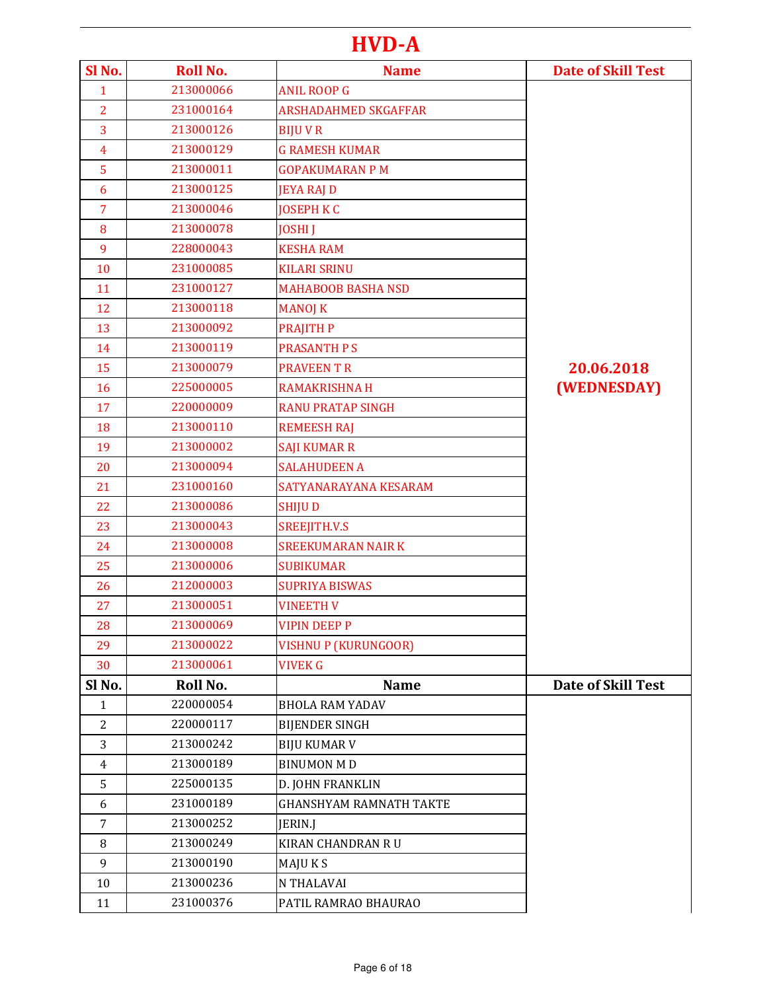## HVD-A

| Sl No.         | <b>Roll No.</b> | <b>Name</b>                    | <b>Date of Skill Test</b> |
|----------------|-----------------|--------------------------------|---------------------------|
| $\mathbf{1}$   | 213000066       | <b>ANIL ROOP G</b>             |                           |
| $\overline{2}$ | 231000164       | <b>ARSHADAHMED SKGAFFAR</b>    |                           |
| 3              | 213000126       | <b>BIJUVR</b>                  |                           |
| $\overline{4}$ | 213000129       | <b>G RAMESH KUMAR</b>          |                           |
| 5              | 213000011       | <b>GOPAKUMARAN P M</b>         |                           |
| 6              | 213000125       | <b>JEYA RAJ D</b>              |                           |
| $\overline{7}$ | 213000046       | <b>JOSEPH K C</b>              |                           |
| 8              | 213000078       | <b>JOSHI J</b>                 |                           |
| 9              | 228000043       | <b>KESHA RAM</b>               |                           |
| 10             | 231000085       | <b>KILARI SRINU</b>            |                           |
| 11             | 231000127       | <b>MAHABOOB BASHA NSD</b>      |                           |
| 12             | 213000118       | <b>MANOJ K</b>                 |                           |
| 13             | 213000092       | <b>PRAJITH P</b>               |                           |
| 14             | 213000119       | <b>PRASANTH PS</b>             |                           |
| 15             | 213000079       | <b>PRAVEEN T R</b>             | 20.06.2018                |
| 16             | 225000005       | <b>RAMAKRISHNA H</b>           | (WEDNESDAY)               |
| 17             | 220000009       | <b>RANU PRATAP SINGH</b>       |                           |
| 18             | 213000110       | <b>REMEESH RAJ</b>             |                           |
| 19             | 213000002       | <b>SAJI KUMAR R</b>            |                           |
| 20             | 213000094       | <b>SALAHUDEEN A</b>            |                           |
| 21             | 231000160       | SATYANARAYANA KESARAM          |                           |
| 22             | 213000086       | <b>SHIJUD</b>                  |                           |
| 23             | 213000043       | SREEJITH.V.S                   |                           |
| 24             | 213000008       | <b>SREEKUMARAN NAIR K</b>      |                           |
| 25             | 213000006       | <b>SUBIKUMAR</b>               |                           |
| 26             | 212000003       | <b>SUPRIYA BISWAS</b>          |                           |
| 27             | 213000051       | <b>VINEETH V</b>               |                           |
| 28             | 213000069       | <b>VIPIN DEEP P</b>            |                           |
| 29             | 213000022       | <b>VISHNU P (KURUNGOOR)</b>    |                           |
| 30             | 213000061       | <b>VIVEK G</b>                 |                           |
| Sl No.         | Roll No.        | <b>Name</b>                    | <b>Date of Skill Test</b> |
| $\mathbf{1}$   | 220000054       | <b>BHOLA RAM YADAV</b>         |                           |
| $\overline{c}$ | 220000117       | <b>BIJENDER SINGH</b>          |                           |
| 3              | 213000242       | <b>BIJU KUMAR V</b>            |                           |
| 4              | 213000189       | <b>BINUMON MD</b>              |                           |
| 5              | 225000135       | D. JOHN FRANKLIN               |                           |
| 6              | 231000189       | <b>GHANSHYAM RAMNATH TAKTE</b> |                           |
| 7              | 213000252       | JERIN.J                        |                           |
| 8              | 213000249       | KIRAN CHANDRAN R U             |                           |
| 9              | 213000190       | MAJU K S                       |                           |
| 10             | 213000236       | N THALAVAI                     |                           |
| 11             | 231000376       | PATIL RAMRAO BHAURAO           |                           |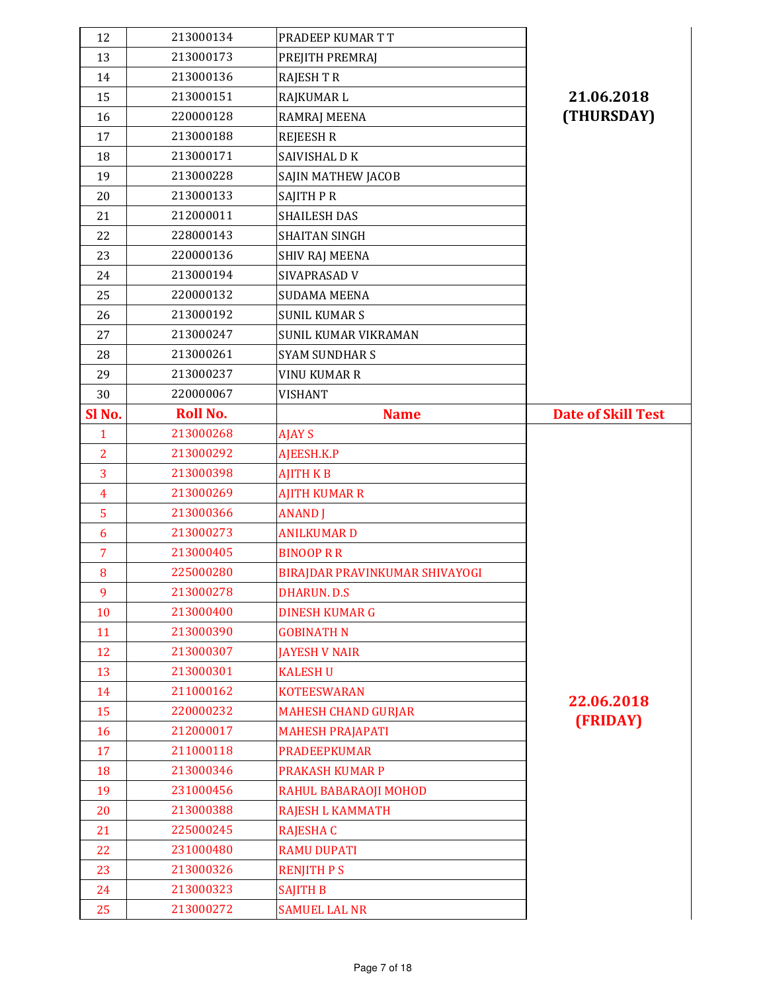| 12             | 213000134              | PRADEEP KUMAR T T              |                           |
|----------------|------------------------|--------------------------------|---------------------------|
| 13             | 213000173              | PREJITH PREMRAJ                |                           |
| 14             | 213000136              | <b>RAJESH T R</b>              |                           |
| 15             | 213000151              | RAJKUMAR L                     | 21.06.2018                |
| 16             | 220000128              | RAMRAJ MEENA                   | (THURSDAY)                |
| 17             | 213000188              | <b>REJEESH R</b>               |                           |
| 18             | 213000171              | SAIVISHAL D K                  |                           |
| 19             | 213000228              | SAJIN MATHEW JACOB             |                           |
| 20             | 213000133              | SAJITH PR                      |                           |
| 21             | 212000011              | <b>SHAILESH DAS</b>            |                           |
| 22             | 228000143              | <b>SHAITAN SINGH</b>           |                           |
| 23             | 220000136              | <b>SHIV RAJ MEENA</b>          |                           |
| 24             | 213000194              | SIVAPRASAD V                   |                           |
| 25             | 220000132              | <b>SUDAMA MEENA</b>            |                           |
| 26             | 213000192              | <b>SUNIL KUMARS</b>            |                           |
| 27             | 213000247              | SUNIL KUMAR VIKRAMAN           |                           |
| 28             | 213000261              | <b>SYAM SUNDHARS</b>           |                           |
| 29             | 213000237              | VINU KUMAR R                   |                           |
| 30             | 220000067              | VISHANT                        |                           |
| Sl No.         | <b>Roll No.</b>        | <b>Name</b>                    | <b>Date of Skill Test</b> |
| $\mathbf{1}$   | 213000268              | <b>AJAY S</b>                  |                           |
| $\overline{2}$ | 213000292              | AJEESH.K.P                     |                           |
| 3              | 213000398              | <b>AJITH KB</b>                |                           |
|                |                        |                                |                           |
| $\overline{4}$ | 213000269              | <b>AJITH KUMAR R</b>           |                           |
| 5              | 213000366              | <b>ANAND</b> J                 |                           |
| 6              | 213000273              | <b>ANILKUMARD</b>              |                           |
| $\overline{7}$ | 213000405              | <b>BINOOP R R</b>              |                           |
| 8              | 225000280              | BIRAJDAR PRAVINKUMAR SHIVAYOGI |                           |
| 9              | 213000278              | DHARUN. D.S                    |                           |
| 10             | 213000400              | <b>DINESH KUMAR G</b>          |                           |
| 11             | 213000390              | <b>GOBINATH N</b>              |                           |
| 12             | 213000307              | <b>JAYESH V NAIR</b>           |                           |
| 13             | 213000301              | <b>KALESH U</b>                |                           |
| 14             | 211000162              | <b>KOTEESWARAN</b>             |                           |
| 15             | 220000232              | <b>MAHESH CHAND GURJAR</b>     | 22.06.2018                |
| 16             | 212000017              | <b>MAHESH PRAJAPATI</b>        | (FRIDAY)                  |
| 17             | 211000118              | <b>PRADEEPKUMAR</b>            |                           |
| 18             | 213000346              | PRAKASH KUMAR P                |                           |
| 19             | 231000456              | RAHUL BABARAOJI MOHOD          |                           |
| 20             | 213000388              | RAJESH L KAMMATH               |                           |
| 21             | 225000245              | <b>RAJESHA C</b>               |                           |
| 22             | 231000480              | <b>RAMU DUPATI</b>             |                           |
| 23             | 213000326              | <b>RENJITH P S</b>             |                           |
| 24             | 213000323<br>213000272 | <b>SAJITH B</b>                |                           |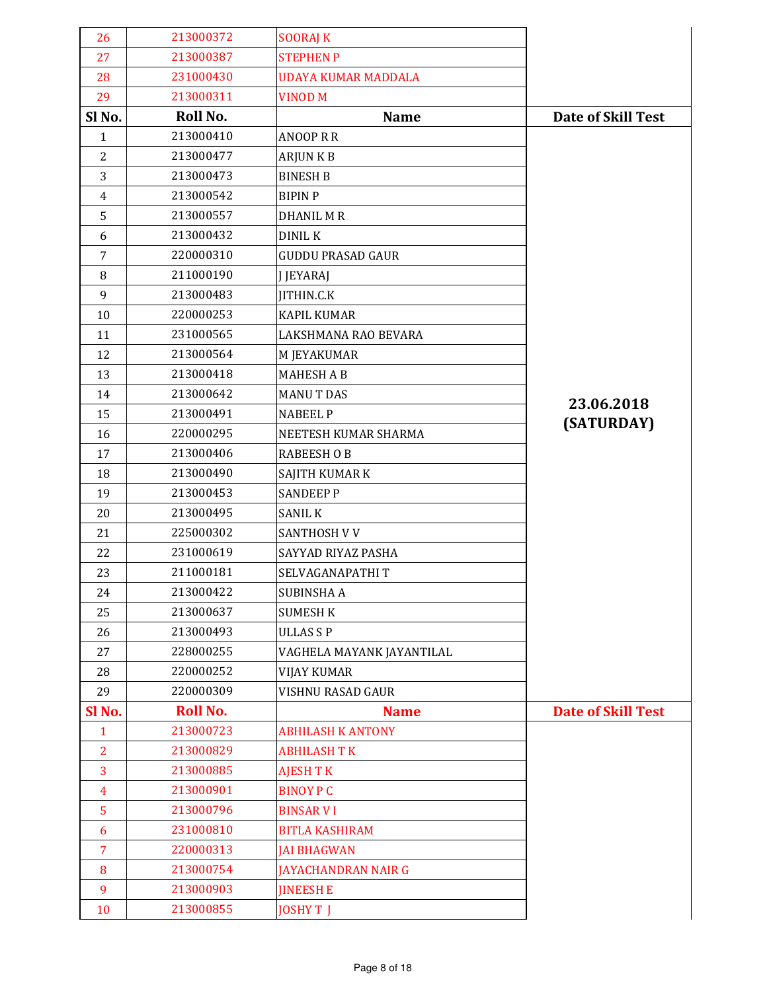| 26             | 213000372       | <b>SOORAJ K</b>            |                           |
|----------------|-----------------|----------------------------|---------------------------|
| 27             | 213000387       | <b>STEPHEN P</b>           |                           |
| 28             | 231000430       | <b>UDAYA KUMAR MADDALA</b> |                           |
| 29             | 213000311       | <b>VINOD M</b>             |                           |
| Sl No.         | Roll No.        | <b>Name</b>                | <b>Date of Skill Test</b> |
| $\mathbf{1}$   | 213000410       | <b>ANOOP R R</b>           |                           |
| $\overline{2}$ | 213000477       | <b>ARJUNKB</b>             |                           |
| 3              | 213000473       | <b>BINESH B</b>            |                           |
| $\overline{4}$ | 213000542       | <b>BIPINP</b>              |                           |
| 5              | 213000557       | <b>DHANIL MR</b>           |                           |
| 6              | 213000432       | <b>DINIL K</b>             |                           |
| $\overline{7}$ | 220000310       | <b>GUDDU PRASAD GAUR</b>   |                           |
| 8              | 211000190       | <b>J JEYARAJ</b>           |                           |
| 9              | 213000483       | JITHIN.C.K                 |                           |
| 10             | 220000253       | <b>KAPIL KUMAR</b>         |                           |
| 11             | 231000565       | LAKSHMANA RAO BEVARA       |                           |
| 12             | 213000564       | M JEYAKUMAR                |                           |
| 13             | 213000418       | <b>MAHESH A B</b>          |                           |
| 14             | 213000642       | <b>MANUT DAS</b>           | 23.06.2018                |
| 15             | 213000491       | <b>NABEEL P</b>            | (SATURDAY)                |
| 16             | 220000295       | NEETESH KUMAR SHARMA       |                           |
| 17             | 213000406       | <b>RABEESH OB</b>          |                           |
| 18             | 213000490       | SAJITH KUMAR K             |                           |
| 19             | 213000453       | <b>SANDEEP P</b>           |                           |
| 20             | 213000495       | <b>SANIL K</b>             |                           |
| 21             | 225000302       | SANTHOSH V V               |                           |
| 22             | 231000619       | SAYYAD RIYAZ PASHA         |                           |
| 23             | 211000181       | SELVAGANAPATHIT            |                           |
| 24             | 213000422       | <b>SUBINSHA A</b>          |                           |
| 25             | 213000637       | <b>SUMESH K</b>            |                           |
| 26             | 213000493       | <b>ULLASSP</b>             |                           |
| 27             | 228000255       | VAGHELA MAYANK JAYANTILAL  |                           |
| 28             | 220000252       | <b>VIJAY KUMAR</b>         |                           |
| 29             | 220000309       | VISHNU RASAD GAUR          |                           |
| Sl No.         | <b>Roll No.</b> | <b>Name</b>                | <b>Date of Skill Test</b> |
| $\mathbf{1}$   | 213000723       | <b>ABHILASH K ANTONY</b>   |                           |
| $\overline{2}$ | 213000829       | <b>ABHILASH T K</b>        |                           |
| 3              | 213000885       | <b>AJESH T K</b>           |                           |
| $\overline{4}$ | 213000901       | <b>BINOY P C</b>           |                           |
| 5              | 213000796       | <b>BINSAR VI</b>           |                           |
| 6              | 231000810       | <b>BITLA KASHIRAM</b>      |                           |
| $\overline{7}$ | 220000313       | <b>JAI BHAGWAN</b>         |                           |
| 8              | 213000754       | <b>JAYACHANDRAN NAIR G</b> |                           |
| 9              | 213000903       | <b>JINEESH E</b>           |                           |
| 10             | 213000855       | <b>JOSHYT J</b>            |                           |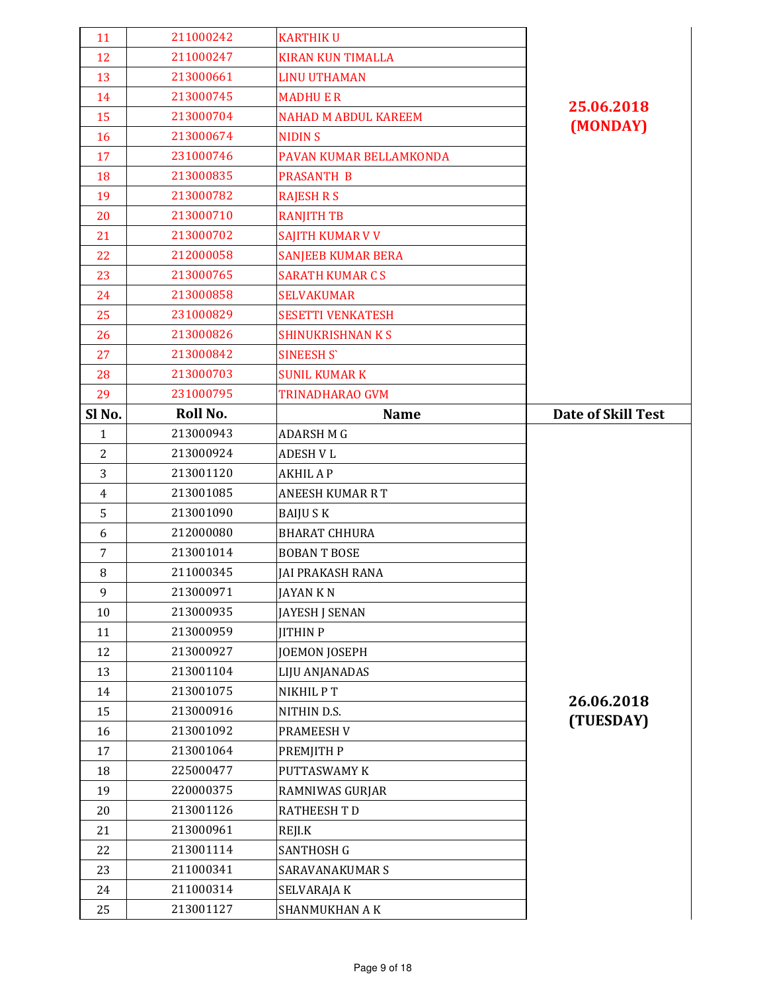| 11             | 211000242 | <b>KARTHIKU</b>             |                           |
|----------------|-----------|-----------------------------|---------------------------|
| 12             | 211000247 | <b>KIRAN KUN TIMALLA</b>    |                           |
| 13             | 213000661 | <b>LINU UTHAMAN</b>         |                           |
| 14             | 213000745 | <b>MADHUER</b>              | 25.06.2018                |
| 15             | 213000704 | <b>NAHAD M ABDUL KAREEM</b> |                           |
| 16             | 213000674 | <b>NIDINS</b>               | (MONDAY)                  |
| 17             | 231000746 | PAVAN KUMAR BELLAMKONDA     |                           |
| 18             | 213000835 | <b>PRASANTH B</b>           |                           |
| 19             | 213000782 | <b>RAJESH R S</b>           |                           |
| 20             | 213000710 | <b>RANJITH TB</b>           |                           |
| 21             | 213000702 | SAJITH KUMAR V V            |                           |
| 22             | 212000058 | <b>SANJEEB KUMAR BERA</b>   |                           |
| 23             | 213000765 | <b>SARATH KUMAR C S</b>     |                           |
| 24             | 213000858 | <b>SELVAKUMAR</b>           |                           |
| 25             | 231000829 | <b>SESETTI VENKATESH</b>    |                           |
| 26             | 213000826 | <b>SHINUKRISHNAN K S</b>    |                           |
| 27             | 213000842 | <b>SINEESH S'</b>           |                           |
| 28             | 213000703 | <b>SUNIL KUMAR K</b>        |                           |
| 29             | 231000795 | TRINADHARAO GVM             |                           |
| Sl No.         | Roll No.  | <b>Name</b>                 | <b>Date of Skill Test</b> |
| $\mathbf{1}$   | 213000943 | <b>ADARSH M G</b>           |                           |
| $\overline{2}$ | 213000924 | <b>ADESH V L</b>            |                           |
| 3              | 213001120 | <b>AKHIL A P</b>            |                           |
|                |           |                             |                           |
| $\overline{4}$ | 213001085 | <b>ANEESH KUMAR R T</b>     |                           |
| 5              | 213001090 | <b>BAIJUSK</b>              |                           |
| 6              | 212000080 | <b>BHARAT CHHURA</b>        |                           |
| $\overline{7}$ | 213001014 | <b>BOBANT BOSE</b>          |                           |
| 8              | 211000345 | JAI PRAKASH RANA            |                           |
| 9              | 213000971 | JAYAN K N                   |                           |
| 10             | 213000935 | <b>JAYESH J SENAN</b>       |                           |
| 11             | 213000959 | <b>JITHIN P</b>             |                           |
| 12             | 213000927 | <b>JOEMON JOSEPH</b>        |                           |
| 13             | 213001104 | LIJU ANJANADAS              |                           |
| 14             | 213001075 | NIKHIL PT                   |                           |
| 15             | 213000916 | NITHIN D.S.                 | 26.06.2018                |
| 16             | 213001092 | PRAMEESH V                  | (TUESDAY)                 |
| 17             | 213001064 | PREMJITH P                  |                           |
| 18             | 225000477 | PUTTASWAMY K                |                           |
| 19             | 220000375 | RAMNIWAS GURJAR             |                           |
| 20             | 213001126 | <b>RATHEESH T D</b>         |                           |
| 21             | 213000961 | REJI.K                      |                           |
| 22             | 213001114 | <b>SANTHOSH G</b>           |                           |
| 23             | 211000341 | SARAVANAKUMAR S             |                           |
| 24             | 211000314 | SELVARAJA K                 |                           |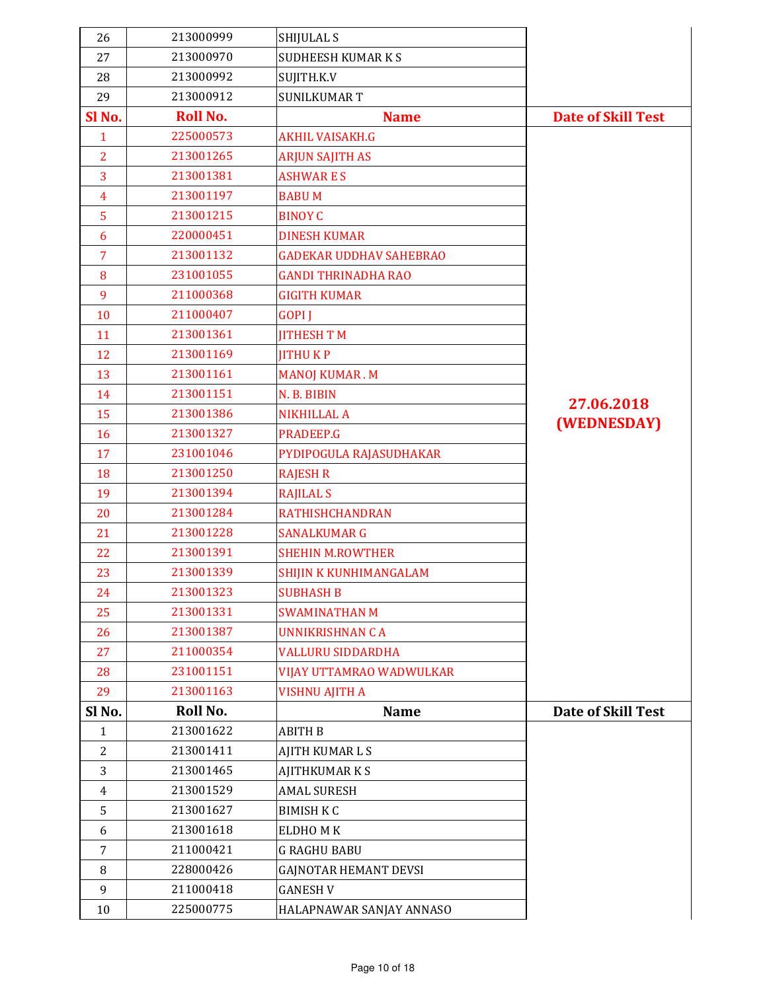| 26             | 213000999       | <b>SHIJULAL S</b>              |                           |
|----------------|-----------------|--------------------------------|---------------------------|
| 27             | 213000970       | <b>SUDHEESH KUMAR K S</b>      |                           |
| 28             | 213000992       | SUJITH.K.V                     |                           |
| 29             | 213000912       | <b>SUNILKUMAR T</b>            |                           |
| Sl No.         | <b>Roll No.</b> | <b>Name</b>                    | <b>Date of Skill Test</b> |
| $\mathbf{1}$   | 225000573       | <b>AKHIL VAISAKH.G</b>         |                           |
| $\overline{2}$ | 213001265       | <b>ARJUN SAJITH AS</b>         |                           |
| 3              | 213001381       | <b>ASHWARES</b>                |                           |
| $\overline{4}$ | 213001197       | <b>BABUM</b>                   |                           |
| 5              | 213001215       | <b>BINOY C</b>                 |                           |
| 6              | 220000451       | <b>DINESH KUMAR</b>            |                           |
| $\overline{7}$ | 213001132       | <b>GADEKAR UDDHAV SAHEBRAO</b> |                           |
| 8              | 231001055       | <b>GANDI THRINADHA RAO</b>     |                           |
| 9              | 211000368       | <b>GIGITH KUMAR</b>            |                           |
| 10             | 211000407       | <b>GOPI J</b>                  |                           |
| 11             | 213001361       | <b>IITHESH T M</b>             |                           |
| 12             | 213001169       | <b>JITHUKP</b>                 |                           |
| 13             | 213001161       | <b>MANOJ KUMAR.M</b>           |                           |
| 14             | 213001151       | N. B. BIBIN                    | 27.06.2018                |
| 15             | 213001386       | <b>NIKHILLAL A</b>             | (WEDNESDAY)               |
| 16             | 213001327       | PRADEEP.G                      |                           |
| 17             | 231001046       | PYDIPOGULA RAJASUDHAKAR        |                           |
| 18             | 213001250       | <b>RAJESH R</b>                |                           |
| 19             | 213001394       | <b>RAJILAL S</b>               |                           |
| 20             | 213001284       | <b>RATHISHCHANDRAN</b>         |                           |
| 21             | 213001228       | <b>SANALKUMAR G</b>            |                           |
| 22             | 213001391       | <b>SHEHIN M.ROWTHER</b>        |                           |
| 23             | 213001339       | SHIJIN K KUNHIMANGALAM         |                           |
| 24             | 213001323       | <b>SUBHASH B</b>               |                           |
| 25             | 213001331       | <b>SWAMINATHAN M</b>           |                           |
| 26             | 213001387       | <b>UNNIKRISHNAN CA</b>         |                           |
| 27             | 211000354       | <b>VALLURU SIDDARDHA</b>       |                           |
| 28             | 231001151       | VIJAY UTTAMRAO WADWULKAR       |                           |
| 29             | 213001163       | <b>VISHNU AJITH A</b>          |                           |
| Sl No.         | Roll No.        | <b>Name</b>                    | <b>Date of Skill Test</b> |
| $\mathbf{1}$   | 213001622       | <b>ABITH B</b>                 |                           |
| $\overline{2}$ | 213001411       | <b>AJITH KUMARLS</b>           |                           |
| 3              | 213001465       | <b>AJITHKUMARKS</b>            |                           |
| $\overline{4}$ | 213001529       | <b>AMAL SURESH</b>             |                           |
| 5              | 213001627       | <b>BIMISH K C</b>              |                           |
| 6              | 213001618       | ELDHOMK                        |                           |
| $\overline{7}$ | 211000421       | <b>G RAGHU BABU</b>            |                           |
| 8              | 228000426       | <b>GAJNOTAR HEMANT DEVSI</b>   |                           |
| 9              | 211000418       | <b>GANESH V</b>                |                           |
| 10             | 225000775       | HALAPNAWAR SANJAY ANNASO       |                           |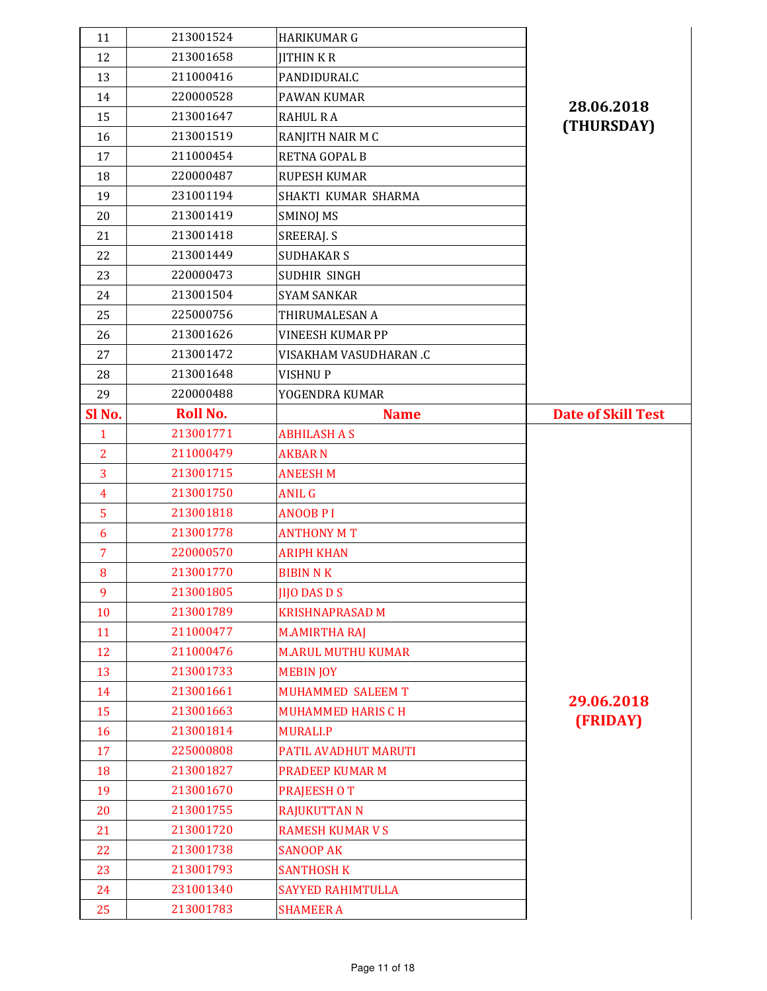| 11             | 213001524       | <b>HARIKUMAR G</b>        |                           |
|----------------|-----------------|---------------------------|---------------------------|
| 12             | 213001658       | <b>JITHINKR</b>           |                           |
| 13             | 211000416       | PANDIDURALC               |                           |
| 14             | 220000528       | PAWAN KUMAR               | 28.06.2018                |
| 15             | 213001647       | <b>RAHUL RA</b>           |                           |
| 16             | 213001519       | RANJITH NAIR M C          | (THURSDAY)                |
| 17             | 211000454       | <b>RETNA GOPAL B</b>      |                           |
| 18             | 220000487       | <b>RUPESH KUMAR</b>       |                           |
| 19             | 231001194       | SHAKTI KUMAR SHARMA       |                           |
| 20             | 213001419       | <b>SMINOJ MS</b>          |                           |
| 21             | 213001418       | SREERAJ. S                |                           |
| 22             | 213001449       | <b>SUDHAKAR S</b>         |                           |
| 23             | 220000473       | SUDHIR SINGH              |                           |
| 24             | 213001504       | <b>SYAM SANKAR</b>        |                           |
| 25             | 225000756       | THIRUMALESAN A            |                           |
| 26             | 213001626       | <b>VINEESH KUMAR PP</b>   |                           |
| 27             | 213001472       | VISAKHAM VASUDHARAN .C    |                           |
| 28             | 213001648       | <b>VISHNUP</b>            |                           |
| 29             | 220000488       | YOGENDRA KUMAR            |                           |
| Sl No.         | <b>Roll No.</b> | <b>Name</b>               | <b>Date of Skill Test</b> |
| $\mathbf{1}$   | 213001771       | <b>ABHILASH A S</b>       |                           |
| $\overline{2}$ | 211000479       | <b>AKBARN</b>             |                           |
| 3              | 213001715       | <b>ANEESH M</b>           |                           |
|                |                 |                           |                           |
| $\overline{4}$ | 213001750       | <b>ANIL G</b>             |                           |
| 5              | 213001818       | <b>ANOOB PI</b>           |                           |
| 6              | 213001778       | <b>ANTHONY MT</b>         |                           |
| $\overline{7}$ | 220000570       | <b>ARIPH KHAN</b>         |                           |
| 8              | 213001770       | <b>BIBIN N K</b>          |                           |
| 9              | 213001805       | <b>JIJO DAS D S</b>       |                           |
| 10             | 213001789       | <b>KRISHNAPRASAD M</b>    |                           |
| 11             | 211000477       | <b>M.AMIRTHA RAJ</b>      |                           |
| 12             | 211000476       | <b>M.ARUL MUTHU KUMAR</b> |                           |
| 13             | 213001733       | <b>MEBIN JOY</b>          |                           |
| 14             | 213001661       | MUHAMMED SALEEM T         |                           |
| 15             | 213001663       | <b>MUHAMMED HARIS C H</b> | 29.06.2018                |
| 16             | 213001814       | <b>MURALI.P</b>           | (FRIDAY)                  |
| 17             | 225000808       | PATIL AVADHUT MARUTI      |                           |
| 18             | 213001827       | <b>PRADEEP KUMAR M</b>    |                           |
| 19             | 213001670       | <b>PRAJEESH OT</b>        |                           |
| 20             | 213001755       | <b>RAJUKUTTAN N</b>       |                           |
| 21             | 213001720       | <b>RAMESH KUMAR V S</b>   |                           |
| 22             | 213001738       | <b>SANOOP AK</b>          |                           |
| 23             | 213001793       | <b>SANTHOSH K</b>         |                           |
| 24             | 231001340       | <b>SAYYED RAHIMTULLA</b>  |                           |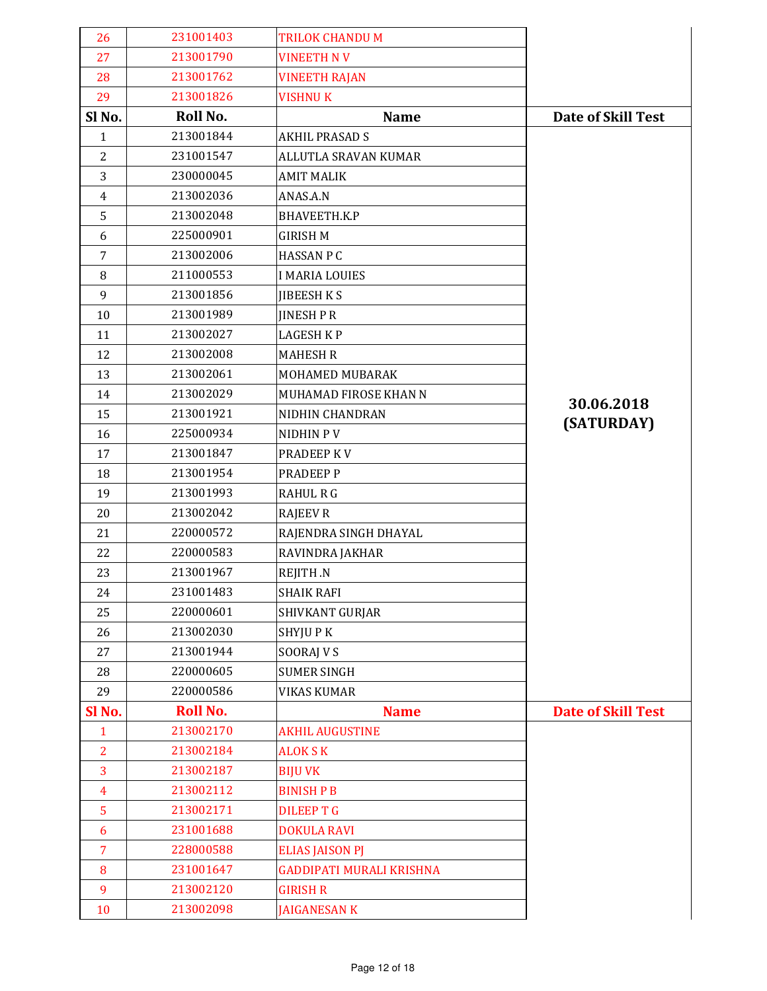| 26             | 231001403       | <b>TRILOK CHANDU M</b>          |                           |
|----------------|-----------------|---------------------------------|---------------------------|
| 27             | 213001790       | <b>VINEETH NV</b>               |                           |
| 28             | 213001762       | <b>VINEETH RAJAN</b>            |                           |
| 29             | 213001826       | <b>VISHNUK</b>                  |                           |
| Sl No.         | Roll No.        | <b>Name</b>                     | <b>Date of Skill Test</b> |
| $\mathbf{1}$   | 213001844       | <b>AKHIL PRASAD S</b>           |                           |
| $\overline{c}$ | 231001547       | ALLUTLA SRAVAN KUMAR            |                           |
| 3              | 230000045       | <b>AMIT MALIK</b>               |                           |
| $\overline{4}$ | 213002036       | ANAS.A.N                        |                           |
| 5              | 213002048       | BHAVEETH.K.P                    |                           |
| 6              | 225000901       | <b>GIRISH M</b>                 |                           |
| 7              | 213002006       | <b>HASSAN P C</b>               |                           |
| 8              | 211000553       | <b>I MARIA LOUIES</b>           |                           |
| 9              | 213001856       | <b>JIBEESH KS</b>               |                           |
| 10             | 213001989       | <b>JINESH P R</b>               |                           |
| 11             | 213002027       | <b>LAGESH KP</b>                |                           |
| 12             | 213002008       | <b>MAHESH R</b>                 |                           |
| 13             | 213002061       | MOHAMED MUBARAK                 |                           |
| 14             | 213002029       | MUHAMAD FIROSE KHAN N           | 30.06.2018                |
| 15             | 213001921       | NIDHIN CHANDRAN                 | (SATURDAY)                |
| 16             | 225000934       | NIDHIN PV                       |                           |
| 17             | 213001847       | PRADEEP KV                      |                           |
| 18             | 213001954       | PRADEEP P                       |                           |
| 19             | 213001993       | <b>RAHUL R G</b>                |                           |
| 20             | 213002042       | <b>RAJEEV R</b>                 |                           |
| 21             | 220000572       | RAJENDRA SINGH DHAYAL           |                           |
| 22             | 220000583       | RAVINDRA JAKHAR                 |                           |
| 23             | 213001967       | REJITH .N                       |                           |
| 24             | 231001483       | <b>SHAIK RAFI</b>               |                           |
| 25             | 220000601       | SHIVKANT GURJAR                 |                           |
| 26             | 213002030       | SHYJU P K                       |                           |
| 27             | 213001944       | SOORAJ V S                      |                           |
| 28             | 220000605       | <b>SUMER SINGH</b>              |                           |
| 29             | 220000586       | <b>VIKAS KUMAR</b>              |                           |
| Sl No.         | <b>Roll No.</b> | <b>Name</b>                     | <b>Date of Skill Test</b> |
| $\mathbf{1}$   | 213002170       | <b>AKHIL AUGUSTINE</b>          |                           |
| $\overline{2}$ | 213002184       | <b>ALOK S K</b>                 |                           |
| 3              | 213002187       | <b>BIJU VK</b>                  |                           |
| $\overline{4}$ | 213002112       | <b>BINISH P B</b>               |                           |
| 5              | 213002171       | <b>DILEEP T G</b>               |                           |
| 6              | 231001688       | <b>DOKULA RAVI</b>              |                           |
| $\overline{7}$ | 228000588       | <b>ELIAS JAISON PJ</b>          |                           |
| 8              | 231001647       | <b>GADDIPATI MURALI KRISHNA</b> |                           |
| 9              | 213002120       | <b>GIRISH R</b>                 |                           |
| 10             | 213002098       | <b>JAIGANESAN K</b>             |                           |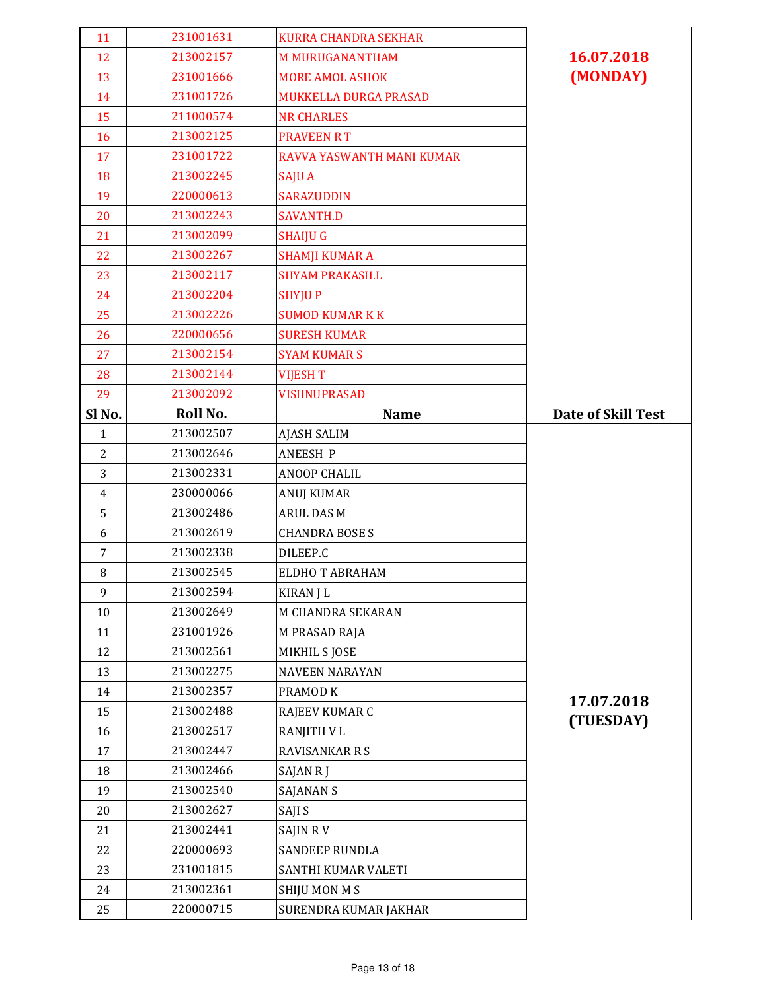| 11             | 231001631 | <b>KURRA CHANDRA SEKHAR</b> |                           |
|----------------|-----------|-----------------------------|---------------------------|
| 12             | 213002157 | <b>M MURUGANANTHAM</b>      | 16.07.2018                |
| 13             | 231001666 | <b>MORE AMOL ASHOK</b>      | (MONDAY)                  |
| 14             | 231001726 | MUKKELLA DURGA PRASAD       |                           |
| 15             | 211000574 | <b>NR CHARLES</b>           |                           |
| 16             | 213002125 | <b>PRAVEEN RT</b>           |                           |
| 17             | 231001722 | RAVVA YASWANTH MANI KUMAR   |                           |
| 18             | 213002245 | <b>SAJUA</b>                |                           |
| 19             | 220000613 | <b>SARAZUDDIN</b>           |                           |
| 20             | 213002243 | <b>SAVANTH.D</b>            |                           |
| 21             | 213002099 | <b>SHAIJU G</b>             |                           |
| 22             | 213002267 | <b>SHAMJI KUMAR A</b>       |                           |
| 23             | 213002117 | <b>SHYAM PRAKASH.L</b>      |                           |
| 24             | 213002204 | <b>SHYJUP</b>               |                           |
| 25             | 213002226 | <b>SUMOD KUMAR K K</b>      |                           |
| 26             | 220000656 | <b>SURESH KUMAR</b>         |                           |
| 27             | 213002154 | <b>SYAM KUMAR S</b>         |                           |
| 28             | 213002144 | <b>VIJESH T</b>             |                           |
| 29             | 213002092 | <b>VISHNUPRASAD</b>         |                           |
| Sl No.         | Roll No.  | <b>Name</b>                 | <b>Date of Skill Test</b> |
| $\mathbf{1}$   | 213002507 | <b>AJASH SALIM</b>          |                           |
| 2              | 213002646 | <b>ANEESH P</b>             |                           |
| 3              | 213002331 | <b>ANOOP CHALIL</b>         |                           |
| $\overline{4}$ | 230000066 | <b>ANUJ KUMAR</b>           |                           |
| 5              | 213002486 | <b>ARUL DAS M</b>           |                           |
| 6              | 213002619 | <b>CHANDRA BOSE S</b>       |                           |
| 7              | 213002338 | DILEEP.C                    |                           |
| 8              | 213002545 | ELDHO T ABRAHAM             |                           |
| 9              | 213002594 | <b>KIRAN J L</b>            |                           |
| 10             | 213002649 | M CHANDRA SEKARAN           |                           |
| 11             | 231001926 | M PRASAD RAJA               |                           |
| 12             | 213002561 | MIKHIL S JOSE               |                           |
| 13             | 213002275 | <b>NAVEEN NARAYAN</b>       |                           |
| 14             | 213002357 | PRAMOD K                    |                           |
| 15             | 213002488 | RAJEEV KUMAR C              | 17.07.2018                |
| 16             | 213002517 | RANJITH V L                 | (TUESDAY)                 |
| 17             | 213002447 | <b>RAVISANKAR R S</b>       |                           |
| 18             | 213002466 | SAJAN RJ                    |                           |
| 19             | 213002540 | <b>SAJANAN S</b>            |                           |
| 20             | 213002627 | SAJI S                      |                           |
| 21             | 213002441 | <b>SAJIN RV</b>             |                           |
| 22             | 220000693 | SANDEEP RUNDLA              |                           |
| 23             | 231001815 | SANTHI KUMAR VALETI         |                           |
| 24             | 213002361 | <b>SHIJU MON M S</b>        |                           |
| 25             | 220000715 | SURENDRA KUMAR JAKHAR       |                           |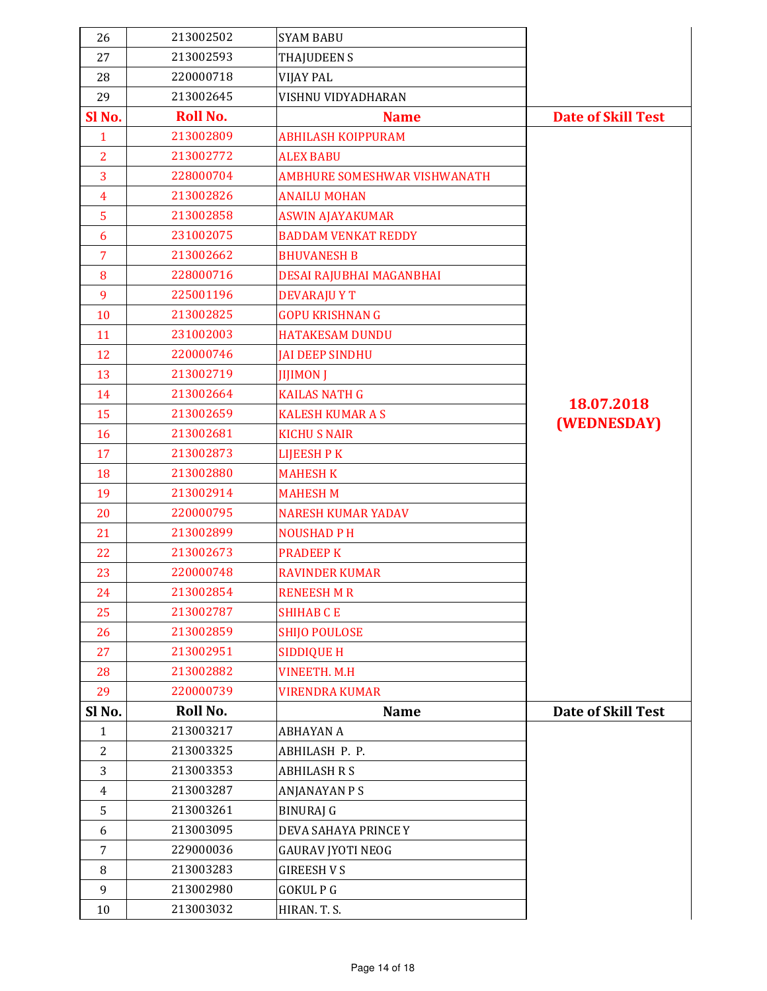| 26             | 213002502       | <b>SYAM BABU</b>             |                           |
|----------------|-----------------|------------------------------|---------------------------|
| 27             | 213002593       | <b>THAJUDEEN S</b>           |                           |
| 28             | 220000718       | <b>VIJAY PAL</b>             |                           |
| 29             | 213002645       | VISHNU VIDYADHARAN           |                           |
| Sl No.         | <b>Roll No.</b> | <b>Name</b>                  | <b>Date of Skill Test</b> |
| $\mathbf{1}$   | 213002809       | <b>ABHILASH KOIPPURAM</b>    |                           |
| $\overline{2}$ | 213002772       | <b>ALEX BABU</b>             |                           |
| 3              | 228000704       | AMBHURE SOMESHWAR VISHWANATH |                           |
| $\overline{4}$ | 213002826       | <b>ANAILU MOHAN</b>          |                           |
| 5              | 213002858       | <b>ASWIN AJAYAKUMAR</b>      |                           |
| 6              | 231002075       | <b>BADDAM VENKAT REDDY</b>   |                           |
| $\overline{7}$ | 213002662       | <b>BHUVANESH B</b>           |                           |
| 8              | 228000716       | DESAI RAJUBHAI MAGANBHAI     |                           |
| 9              | 225001196       | <b>DEVARAJU Y T</b>          |                           |
| 10             | 213002825       | <b>GOPU KRISHNAN G</b>       |                           |
| 11             | 231002003       | <b>HATAKESAM DUNDU</b>       |                           |
| 12             | 220000746       | <b>JAI DEEP SINDHU</b>       |                           |
| 13             | 213002719       | <b>JIJIMON J</b>             |                           |
| 14             | 213002664       | <b>KAILAS NATH G</b>         |                           |
| 15             | 213002659       | <b>KALESH KUMAR A S</b>      | 18.07.2018                |
| 16             | 213002681       | <b>KICHU S NAIR</b>          | (WEDNESDAY)               |
| 17             | 213002873       | LIJEESH P K                  |                           |
| 18             | 213002880       | <b>MAHESH K</b>              |                           |
| 19             | 213002914       | <b>MAHESH M</b>              |                           |
| 20             | 220000795       | <b>NARESH KUMAR YADAV</b>    |                           |
| 21             | 213002899       | <b>NOUSHAD PH</b>            |                           |
| 22             | 213002673       | <b>PRADEEP K</b>             |                           |
| 23             | 220000748       | <b>RAVINDER KUMAR</b>        |                           |
| 24             | 213002854       | <b>RENEESH M R</b>           |                           |
| 25             | 213002787       | <b>SHIHAB CE</b>             |                           |
| 26             | 213002859       | <b>SHIJO POULOSE</b>         |                           |
| 27             | 213002951       | <b>SIDDIQUE H</b>            |                           |
| 28             | 213002882       | <b>VINEETH. M.H</b>          |                           |
| 29             | 220000739       | <b>VIRENDRA KUMAR</b>        |                           |
| Sl No.         | Roll No.        | <b>Name</b>                  | <b>Date of Skill Test</b> |
| $\mathbf{1}$   | 213003217       | ABHAYAN A                    |                           |
| $\overline{2}$ | 213003325       | ABHILASH P. P.               |                           |
| 3              | 213003353       | <b>ABHILASH R S</b>          |                           |
| $\overline{4}$ | 213003287       | <b>ANJANAYAN P S</b>         |                           |
| 5              | 213003261       | <b>BINURAJ G</b>             |                           |
| 6              | 213003095       | DEVA SAHAYA PRINCE Y         |                           |
| $\overline{7}$ | 229000036       | <b>GAURAV JYOTI NEOG</b>     |                           |
| 8              | 213003283       | <b>GIREESH V S</b>           |                           |
| 9              | 213002980       | <b>GOKULPG</b>               |                           |
| 10             | 213003032       | HIRAN. T. S.                 |                           |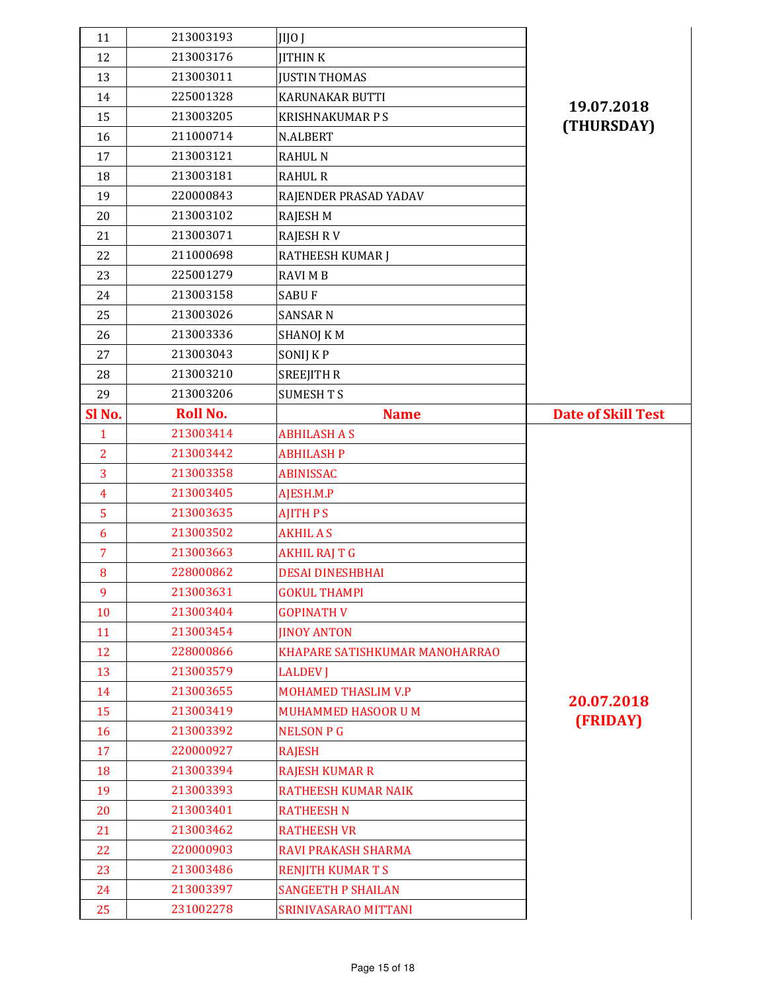| 12<br>213003176<br><b>JITHINK</b><br>213003011<br><b>JUSTIN THOMAS</b><br>13 |                           |
|------------------------------------------------------------------------------|---------------------------|
|                                                                              |                           |
|                                                                              |                           |
| 225001328<br>14<br>KARUNAKAR BUTTI                                           | 19.07.2018                |
| 213003205<br><b>KRISHNAKUMAR P S</b><br>15                                   | (THURSDAY)                |
| 211000714<br>16<br>N.ALBERT                                                  |                           |
| 213003121<br>17<br><b>RAHUL N</b>                                            |                           |
| 213003181<br>18<br><b>RAHUL R</b>                                            |                           |
| 220000843<br>19<br>RAJENDER PRASAD YADAV                                     |                           |
| 213003102<br>20<br><b>RAJESH M</b>                                           |                           |
| 213003071<br>21<br><b>RAJESH RV</b>                                          |                           |
| 22<br>211000698<br>RATHEESH KUMAR J                                          |                           |
| 225001279<br><b>RAVI MB</b><br>23                                            |                           |
| 213003158<br><b>SABUF</b><br>24                                              |                           |
| 25<br>213003026<br><b>SANSAR N</b>                                           |                           |
| 213003336<br>26<br>SHANOJ K M                                                |                           |
| 213003043<br>27<br>SONIJ K P                                                 |                           |
| 28<br>213003210<br><b>SREEJITH R</b>                                         |                           |
| 213003206<br>29<br><b>SUMESH T S</b>                                         |                           |
| <b>Roll No.</b><br>Sl No.<br><b>Name</b>                                     | <b>Date of Skill Test</b> |
| 213003414<br><b>ABHILASH A S</b><br>$\mathbf{1}$                             |                           |
| $\overline{2}$<br>213003442<br><b>ABHILASH P</b>                             |                           |
| 3<br>213003358<br><b>ABINISSAC</b>                                           |                           |
| 213003405<br>AJESH.M.P<br>$\overline{4}$                                     |                           |
|                                                                              |                           |
| 5<br>213003635<br><b>AJITH PS</b>                                            |                           |
| 213003502<br><b>AKHIL A S</b><br>6                                           |                           |
| $\overline{7}$<br>213003663<br><b>AKHIL RAJ T G</b>                          |                           |
| 228000862<br><b>DESAI DINESHBHAI</b><br>8                                    |                           |
| 213003631<br><b>GOKUL THAMPI</b><br>9                                        |                           |
| 213003404<br><b>GOPINATH V</b><br>10                                         |                           |
| 213003454<br>11<br><b>JINOY ANTON</b>                                        |                           |
| 228000866<br>12<br>KHAPARE SATISHKUMAR MANOHARRAO                            |                           |
| 213003579<br>13<br><b>LALDEV J</b>                                           |                           |
| 213003655<br><b>MOHAMED THASLIM V.P</b><br>14                                |                           |
| 15<br>213003419<br>MUHAMMED HASOOR U M                                       | 20.07.2018                |
| 213003392<br><b>NELSON P G</b><br>16                                         | (FRIDAY)                  |
| 17<br>220000927<br><b>RAJESH</b>                                             |                           |
| 213003394<br><b>RAJESH KUMAR R</b><br>18                                     |                           |
| 213003393<br><b>RATHEESH KUMAR NAIK</b><br>19                                |                           |
| 213003401<br>20<br><b>RATHEESH N</b>                                         |                           |
| 213003462<br><b>RATHEESH VR</b><br>21                                        |                           |
| 220000903<br>22<br>RAVI PRAKASH SHARMA                                       |                           |
| 213003486<br><b>RENJITH KUMARTS</b><br>23                                    |                           |
| <b>SANGEETH P SHAILAN</b><br>213003397<br>24                                 |                           |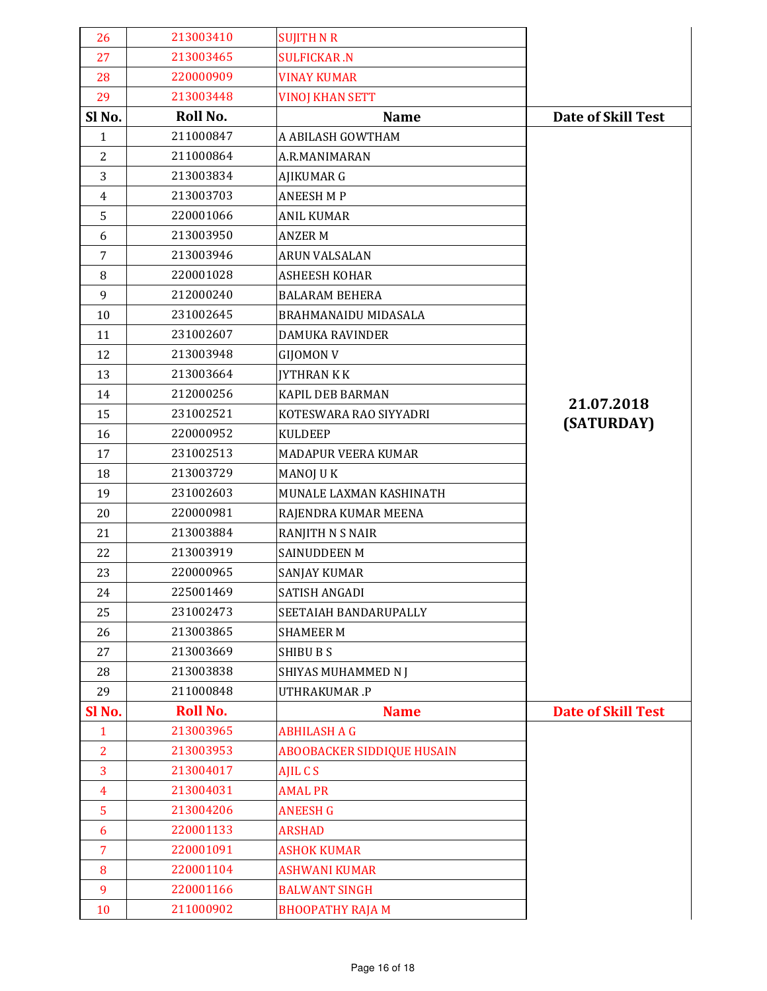| 26             | 213003410       | <b>SUJITH N R</b>                 |                           |
|----------------|-----------------|-----------------------------------|---------------------------|
| 27             | 213003465       | <b>SULFICKAR.N</b>                |                           |
| 28             | 220000909       | <b>VINAY KUMAR</b>                |                           |
| 29             | 213003448       | <b>VINOJ KHAN SETT</b>            |                           |
| Sl No.         | Roll No.        | <b>Name</b>                       | <b>Date of Skill Test</b> |
| $\mathbf{1}$   | 211000847       | A ABILASH GOWTHAM                 |                           |
| 2              | 211000864       | A.R.MANIMARAN                     |                           |
| 3              | 213003834       | AJIKUMAR G                        |                           |
| $\overline{4}$ | 213003703       | <b>ANEESH M P</b>                 |                           |
| 5              | 220001066       | <b>ANIL KUMAR</b>                 |                           |
| 6              | 213003950       | <b>ANZER M</b>                    |                           |
| $\overline{7}$ | 213003946       | <b>ARUN VALSALAN</b>              |                           |
| 8              | 220001028       | <b>ASHEESH KOHAR</b>              |                           |
| 9              | 212000240       | <b>BALARAM BEHERA</b>             |                           |
| 10             | 231002645       | <b>BRAHMANAIDU MIDASALA</b>       |                           |
| 11             | 231002607       | <b>DAMUKA RAVINDER</b>            |                           |
| 12             | 213003948       | <b>GIJOMON V</b>                  |                           |
| 13             | 213003664       | <b>JYTHRAN K K</b>                |                           |
| 14             | 212000256       | KAPIL DEB BARMAN                  | 21.07.2018                |
| 15             | 231002521       | KOTESWARA RAO SIYYADRI            | (SATURDAY)                |
| 16             | 220000952       | <b>KULDEEP</b>                    |                           |
| 17             | 231002513       | MADAPUR VEERA KUMAR               |                           |
| 18             | 213003729       | <b>MANOJ U K</b>                  |                           |
| 19             | 231002603       | MUNALE LAXMAN KASHINATH           |                           |
| 20             | 220000981       | RAJENDRA KUMAR MEENA              |                           |
| 21             | 213003884       | <b>RANJITH N S NAIR</b>           |                           |
| 22             | 213003919       | SAINUDDEEN M                      |                           |
| 23             | 220000965       | SANJAY KUMAR                      |                           |
| 24             | 225001469       | <b>SATISH ANGADI</b>              |                           |
| 25             | 231002473       | SEETAIAH BANDARUPALLY             |                           |
| 26             | 213003865       | <b>SHAMEER M</b>                  |                           |
| 27             | 213003669       | <b>SHIBU B S</b>                  |                           |
| 28             | 213003838       | SHIYAS MUHAMMED N J               |                           |
| 29             | 211000848       | UTHRAKUMAR.P                      |                           |
| SI No.         | <b>Roll No.</b> | <b>Name</b>                       | <b>Date of Skill Test</b> |
| $\mathbf{1}$   | 213003965       | <b>ABHILASH A G</b>               |                           |
| $\overline{2}$ | 213003953       | <b>ABOOBACKER SIDDIQUE HUSAIN</b> |                           |
| 3              | 213004017       | AJIL C S                          |                           |
| $\overline{4}$ | 213004031       | <b>AMAL PR</b>                    |                           |
| 5              | 213004206       | <b>ANEESH G</b>                   |                           |
| 6              | 220001133       | <b>ARSHAD</b>                     |                           |
| $\overline{7}$ | 220001091       | <b>ASHOK KUMAR</b>                |                           |
| 8              | 220001104       | <b>ASHWANI KUMAR</b>              |                           |
| 9              | 220001166       | <b>BALWANT SINGH</b>              |                           |
| 10             | 211000902       | <b>BHOOPATHY RAJA M</b>           |                           |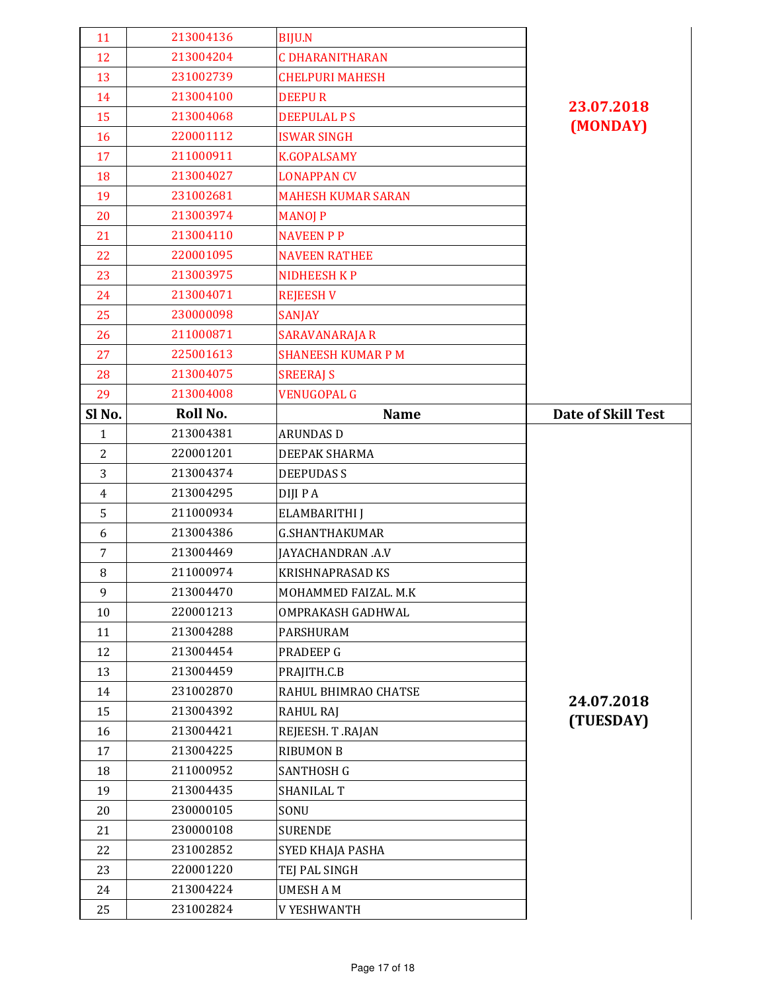| 11             | 213004136 | <b>BIJU.N</b>             |                           |
|----------------|-----------|---------------------------|---------------------------|
| 12             | 213004204 | <b>C DHARANITHARAN</b>    |                           |
| 13             | 231002739 | <b>CHELPURI MAHESH</b>    |                           |
| 14             | 213004100 | <b>DEEPUR</b>             | 23.07.2018                |
| 15             | 213004068 | <b>DEEPULAL PS</b>        | (MONDAY)                  |
| 16             | 220001112 | <b>ISWAR SINGH</b>        |                           |
| 17             | 211000911 | <b>K.GOPALSAMY</b>        |                           |
| 18             | 213004027 | <b>LONAPPAN CV</b>        |                           |
| 19             | 231002681 | <b>MAHESH KUMAR SARAN</b> |                           |
| 20             | 213003974 | <b>MANOJ P</b>            |                           |
| 21             | 213004110 | <b>NAVEEN P P</b>         |                           |
| 22             | 220001095 | <b>NAVEEN RATHEE</b>      |                           |
| 23             | 213003975 | <b>NIDHEESH KP</b>        |                           |
| 24             | 213004071 | <b>REJEESH V</b>          |                           |
| 25             | 230000098 | <b>SANJAY</b>             |                           |
| 26             | 211000871 | <b>SARAVANARAJA R</b>     |                           |
| 27             | 225001613 | <b>SHANEESH KUMAR P M</b> |                           |
| 28             | 213004075 | <b>SREERAJ S</b>          |                           |
| 29             | 213004008 | <b>VENUGOPAL G</b>        |                           |
| Sl No.         | Roll No.  | <b>Name</b>               | <b>Date of Skill Test</b> |
| $\mathbf{1}$   | 213004381 | <b>ARUNDAS D</b>          |                           |
| $\overline{c}$ | 220001201 | DEEPAK SHARMA             |                           |
| 3              | 213004374 | <b>DEEPUDAS S</b>         |                           |
|                |           |                           |                           |
| $\overline{4}$ | 213004295 | DIJI P A                  |                           |
| 5              | 211000934 | ELAMBARITHI J             |                           |
| 6              | 213004386 | <b>G.SHANTHAKUMAR</b>     |                           |
| $\overline{7}$ | 213004469 | JAYACHANDRAN .A.V         |                           |
| 8              | 211000974 | <b>KRISHNAPRASAD KS</b>   |                           |
| 9              | 213004470 | MOHAMMED FAIZAL. M.K      |                           |
| 10             | 220001213 | OMPRAKASH GADHWAL         |                           |
| 11             | 213004288 | PARSHURAM                 |                           |
| 12             | 213004454 | <b>PRADEEP G</b>          |                           |
| 13             | 213004459 | PRAJITH.C.B               |                           |
| 14             | 231002870 | RAHUL BHIMRAO CHATSE      |                           |
| 15             | 213004392 | <b>RAHUL RAJ</b>          | 24.07.2018                |
| 16             | 213004421 | REJEESH. T.RAJAN          | (TUESDAY)                 |
| 17             | 213004225 | <b>RIBUMON B</b>          |                           |
| 18             | 211000952 | <b>SANTHOSH G</b>         |                           |
| 19             | 213004435 | <b>SHANILAL T</b>         |                           |
| 20             | 230000105 | SONU                      |                           |
| 21             | 230000108 | <b>SURENDE</b>            |                           |
| 22             | 231002852 | SYED KHAJA PASHA          |                           |
| 23             | 220001220 | TEJ PAL SINGH             |                           |
| 24             | 213004224 | <b>UMESH A M</b>          |                           |